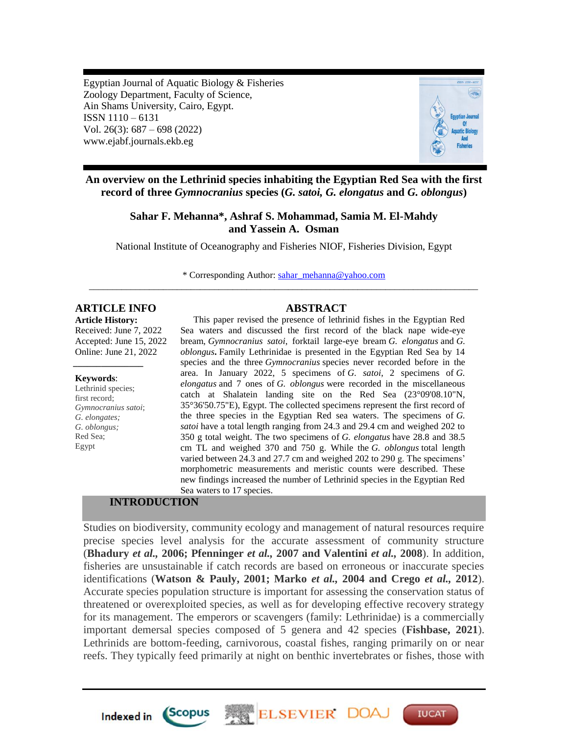Egyptian Journal of Aquatic Biology & Fisheries Zoology Department, Faculty of Science, Ain Shams University, Cairo, Egypt. ISSN 1110 – 6131 Vol. 26(3): 687 – 698 (2022) www.ejabf.journals.ekb.eg



**An overview on the Lethrinid species inhabiting the Egyptian Red Sea with the first record of three** *Gymnocranius* **species (***G. satoi, G. elongatus* **and** *G. oblongus***)**

# **Sahar F. Mehanna\*, Ashraf S. Mohammad, Samia M. El-Mahdy and Yassein A. Osman**

National Institute of Oceanography and Fisheries NIOF, Fisheries Division, Egypt

\* Corresponding Author: [sahar\\_mehanna@yahoo.com](mailto:sahar_mehanna@yahoo.com) \_\_\_\_\_\_\_\_\_\_\_\_\_\_\_\_\_\_\_\_\_\_\_\_\_\_\_\_\_\_\_\_\_\_\_\_\_\_\_\_\_\_\_\_\_\_\_\_\_\_\_\_\_\_\_\_\_\_\_\_\_\_\_\_\_\_\_\_\_\_\_\_\_\_\_\_\_\_\_\_\_\_\_\_

# **ARTICLE INFO ABSTRACT**

**Article History:** Received: June 7, 2022 Accepted: June 15, 2022 Online: June 21, 2022

#### **Keywords**:

Lethrinid species; first record; *Gymnocranius satoi*; *G. elongates; G. oblongus;* Red Sea; Egypt

*\_\_\_\_\_\_\_\_\_\_\_\_\_\_\_*

This paper revised the presence of lethrinid fishes in the Egyptian Red Sea waters and discussed the first record of the black nape wide-eye bream, *Gymnocranius satoi*, forktail large-eye bream *G. elongatus* and *G. oblongus***.** Family Lethrinidae is presented in the Egyptian Red Sea by 14 species and the three *Gymnocranius* species never recorded before in the area. In January 2022, 5 specimens of *G. satoi*, 2 specimens of *G. elongatus* and 7 ones of *G. oblongus* were recorded in the miscellaneous catch at Shalatein landing site on the Red Sea (23°09'08.10"N, 35°36'50.75"E), Egypt. The collected specimens represent the first record of the three species in the Egyptian Red sea waters. The specimens of *G. satoi* have a total length ranging from 24.3 and 29.4 cm and weighed 202 to 350 g total weight. The two specimens of *G. elongatus* have 28.8 and 38.5 cm TL and weighed 370 and 750 g. While the *G. oblongus* total length varied between 24.3 and 27.7 cm and weighed 202 to 290 g. The specimens' morphometric measurements and meristic counts were described. These new findings increased the number of Lethrinid species in the Egyptian Red Sea waters to 17 species.

# **INTRODUCTION**

*Scopus* 

**Indexed in** 

Studies on biodiversity, community ecology and management of natural resources require precise species level analysis for the accurate assessment of community structure (**Bhadury** *et al.,* **2006; Pfenninger** *et al.,* **2007 and Valentini** *et al.,* **2008**). In addition, fisheries are unsustainable if catch records are based on erroneous or inaccurate species identifications (**Watson & Pauly, 2001; Marko** *et al.,* **2004 and Crego** *et al.,* **2012**). Accurate species population structure is important for assessing the conservation status of threatened or overexploited species, as well as for developing effective recovery strategy for its management. The emperors or scavengers (family: Lethrinidae) is a commercially important demersal species composed of 5 genera and 42 species (**Fishbase, 2021**). Lethrinids are bottom-feeding, carnivorous, coastal fishes, ranging primarily on or near reefs. They typically feed primarily at night on benthic invertebrates or fishes, those with

ELSEVIER DOA

**IUCAT**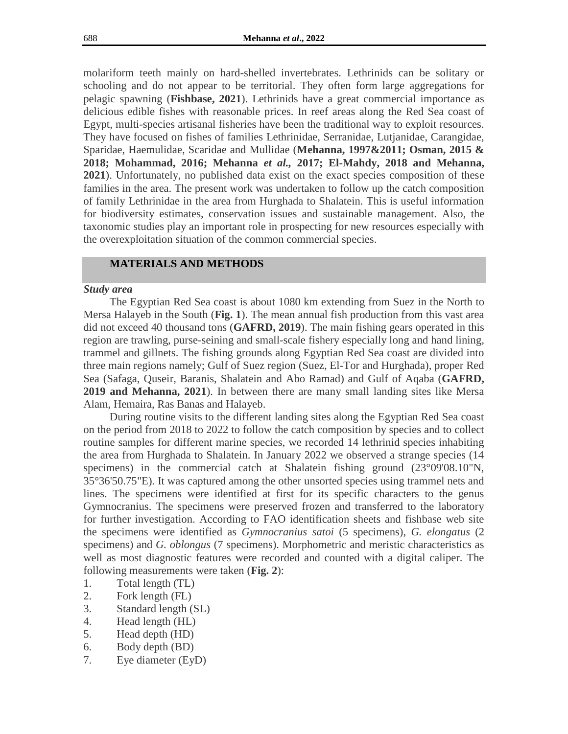molariform teeth mainly on hard-shelled invertebrates. Lethrinids can be solitary or schooling and do not appear to be territorial. They often form large aggregations for pelagic spawning (**Fishbase, 2021**). Lethrinids have a great commercial importance as delicious edible fishes with reasonable prices. In reef areas along the Red Sea coast of Egypt, multi-species artisanal fisheries have been the traditional way to exploit resources. They have focused on fishes of families Lethrinidae, Serranidae, Lutjanidae, Carangidae, Sparidae, Haemulidae, Scaridae and Mullidae (**Mehanna, 1997&2011; Osman, 2015 & 2018; Mohammad, 2016; Mehanna** *et al.,* **2017; El-Mahdy, 2018 and Mehanna, 2021**). Unfortunately, no published data exist on the exact species composition of these families in the area. The present work was undertaken to follow up the catch composition of family Lethrinidae in the area from Hurghada to Shalatein. This is useful information for biodiversity estimates, conservation issues and sustainable management. Also, the taxonomic studies play an important role in prospecting for new resources especially with the overexploitation situation of the common commercial species.

## **MATERIALS AND METHODS**

#### *Study area*

The Egyptian Red Sea coast is about 1080 km extending from Suez in the North to Mersa Halayeb in the South (**Fig. 1**). The mean annual fish production from this vast area did not exceed 40 thousand tons (**GAFRD, 2019**). The main fishing gears operated in this region are trawling, purse-seining and small-scale fishery especially long and hand lining, trammel and gillnets. The fishing grounds along Egyptian Red Sea coast are divided into three main regions namely; Gulf of Suez region (Suez, El-Tor and Hurghada), proper Red Sea (Safaga, Quseir, Baranis, Shalatein and Abo Ramad) and Gulf of Aqaba (**GAFRD, 2019 and Mehanna, 2021**). In between there are many small landing sites like Mersa Alam, Hemaira, Ras Banas and Halayeb.

During routine visits to the different landing sites along the Egyptian Red Sea coast on the period from 2018 to 2022 to follow the catch composition by species and to collect routine samples for different marine species, we recorded 14 lethrinid species inhabiting the area from Hurghada to Shalatein. In January 2022 we observed a strange species (14 specimens) in the commercial catch at Shalatein fishing ground (23°09'08.10"N, 35°36'50.75"E). It was captured among the other unsorted species using trammel nets and lines. The specimens were identified at first for its specific characters to the genus Gymnocranius. The specimens were preserved frozen and transferred to the laboratory for further investigation. According to FAO identification sheets and fishbase web site the specimens were identified as *Gymnocranius satoi* (5 specimens), *G. elongatus* (2 specimens) and *G. oblongus* (7 specimens). Morphometric and meristic characteristics as well as most diagnostic features were recorded and counted with a digital caliper. The following measurements were taken (**Fig. 2**):

- 1. Total length (TL)
- 2. Fork length (FL)
- 3. Standard length (SL)
- 4. Head length (HL)
- 5. Head depth (HD)
- 6. Body depth (BD)
- 7. Eye diameter (EyD)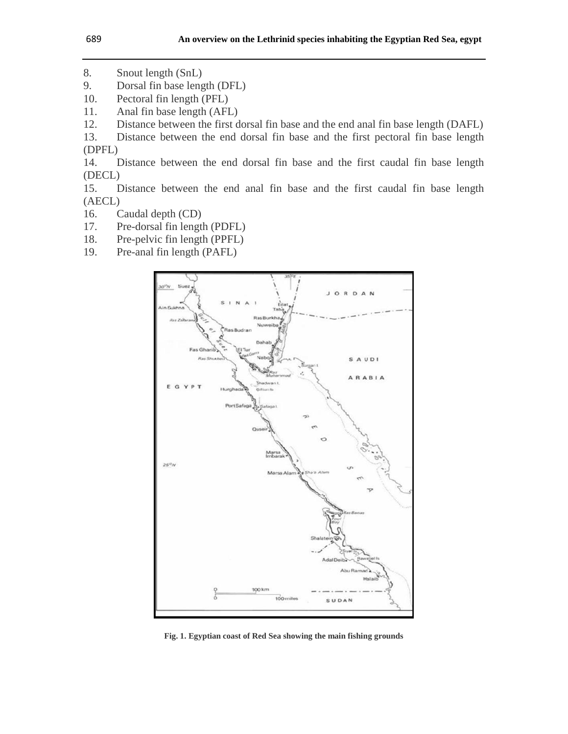- 8. Snout length (SnL)
- 9. Dorsal fin base length (DFL)
- 10. Pectoral fin length (PFL)
- 11. Anal fin base length (AFL)
- 12. Distance between the first dorsal fin base and the end anal fin base length (DAFL)
- 13. Distance between the end dorsal fin base and the first pectoral fin base length (DPFL)
- 14. Distance between the end dorsal fin base and the first caudal fin base length (DECL)

15. Distance between the end anal fin base and the first caudal fin base length (AECL)

- 16. Caudal depth (CD)
- 17. Pre-dorsal fin length (PDFL)
- 18. Pre-pelvic fin length (PPFL)
- 19. Pre-anal fin length (PAFL)



**Fig. 1. Egyptian coast of Red Sea showing the main fishing grounds**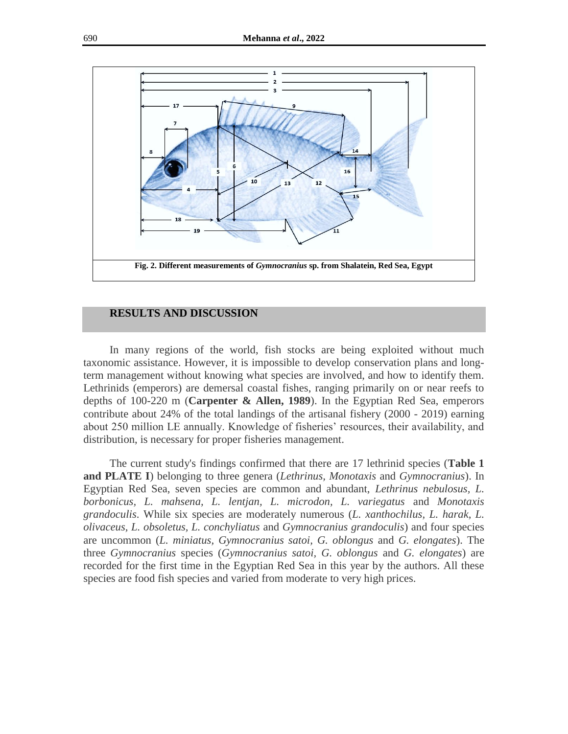

#### **RESULTS AND DISCUSSION**

In many regions of the world, fish stocks are being exploited without much taxonomic assistance. However, it is impossible to develop conservation plans and longterm management without knowing what species are involved, and how to identify them. Lethrinids (emperors) are demersal coastal fishes, ranging primarily on or near reefs to depths of 100-220 m (**Carpenter & Allen, 1989**). In the Egyptian Red Sea, emperors contribute about 24% of the total landings of the artisanal fishery (2000 - 2019) earning about 250 million LE annually. Knowledge of fisheries' resources, their availability, and distribution, is necessary for proper fisheries management.

The current study's findings confirmed that there are 17 lethrinid species (**Table 1 and PLATE I**) belonging to three genera (*Lethrinus, Monotaxis* and *Gymnocranius*). In Egyptian Red Sea, seven species are common and abundant, *Lethrinus nebulosus, L. borbonicus, L. mahsena, L. lentjan, L. microdon, L. variegatus* and *Monotaxis grandoculis*. While six species are moderately numerous (*L. xanthochilus, L. harak, L. olivaceus, L. obsoletus, L. conchyliatus* and *Gymnocranius grandoculis*) and four species are uncommon (*L. miniatus, Gymnocranius satoi, G. oblongus* and *G. elongates*). The three *Gymnocranius* species (*Gymnocranius satoi, G. oblongus* and *G. elongates*) are recorded for the first time in the Egyptian Red Sea in this year by the authors. All these species are food fish species and varied from moderate to very high prices.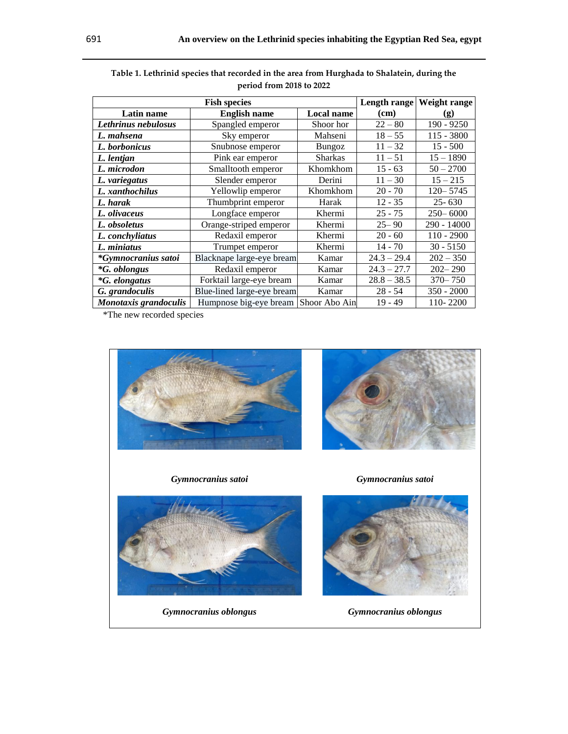| <b>Fish species</b>        |                                      |                | Length range  | Weight range                |
|----------------------------|--------------------------------------|----------------|---------------|-----------------------------|
| Latin name                 | <b>English name</b>                  | Local name     | (cm)          | $\left( \mathbf{g} \right)$ |
| Lethrinus nebulosus        | Spangled emperor                     | Shoor hor      | $22 - 80$     | $190 - 9250$                |
| L. mahsena                 | Sky emperor                          | Mahseni        | $18 - 55$     | $115 - 3800$                |
| L. borbonicus              | Snubnose emperor                     | Bungoz         | $11 - 32$     | $15 - 500$                  |
| L. lentjan                 | Pink ear emperor                     | <b>Sharkas</b> | $11 - 51$     | $15 - 1890$                 |
| L. microdon                | Smalltooth emperor                   | Khomkhom       | $15 - 63$     | $50 - 2700$                 |
| L. variegatus              | Slender emperor                      | Derini         | $11 - 30$     | $15 - 215$                  |
| L. xanthochilus            | Yellowlip emperor                    | Khomkhom       | $20 - 70$     | $120 - 5745$                |
| L. harak                   | Thumbprint emperor                   | Harak          | $12 - 35$     | $25 - 630$                  |
| L. olivaceus               | Longface emperor                     | Khermi         | $25 - 75$     | $250 - 6000$                |
| L. obsoletus               | Orange-striped emperor               | Khermi         | $25 - 90$     | 290 - 14000                 |
| L. conchyliatus            | Redaxil emperor                      | Khermi         | $20 - 60$     | $110 - 2900$                |
| L. miniatus                | Trumpet emperor                      | Khermi         | $14 - 70$     | $30 - 5150$                 |
| *Gymnocranius satoi        | Blacknape large-eye bream            | Kamar          | $24.3 - 29.4$ | $202 - 350$                 |
| <i><b>*G.</b> oblongus</i> | Redaxil emperor                      | Kamar          | $24.3 - 27.7$ | $202 - 290$                 |
| <i>*G. elongatus</i>       | Forktail large-eye bream             | Kamar          | $28.8 - 38.5$ | $370 - 750$                 |
| G. grandoculis             | Blue-lined large-eye bream           | Kamar          | $28 - 54$     | $350 - 2000$                |
| Monotaxis grandoculis      | Humpnose big-eye bream Shoor Abo Ain |                | $19 - 49$     | 110-2200                    |

| Table 1. Lethrinid species that recorded in the area from Hurghada to Shalatein, during the |  |
|---------------------------------------------------------------------------------------------|--|
| period from 2018 to 2022                                                                    |  |

\*The new recorded species





*Gymnocranius satoi Gymnocranius satoi*



*Gymnocranius oblongus Gymnocranius oblongus*

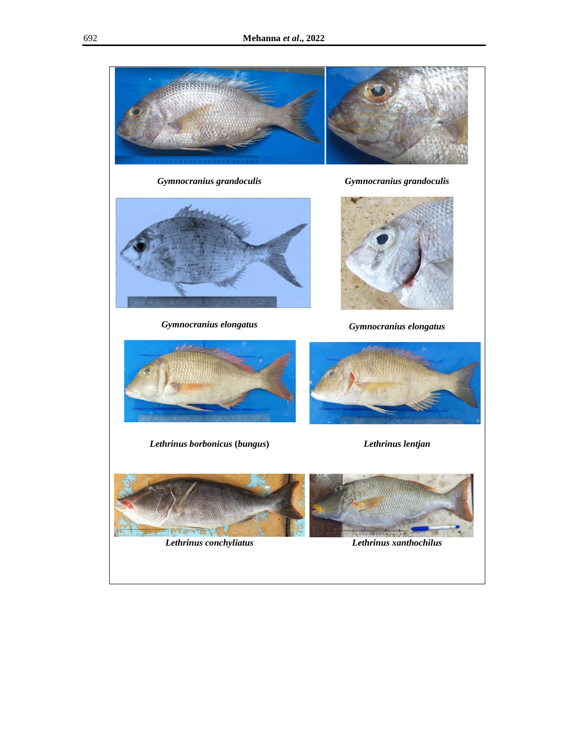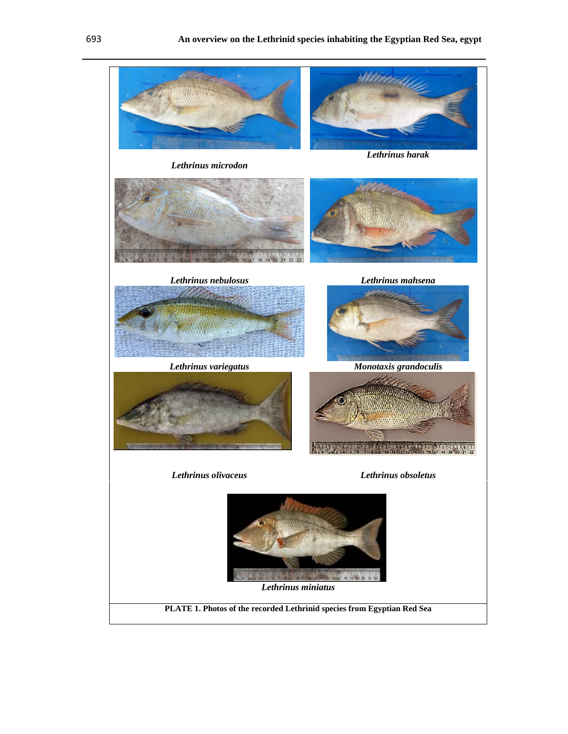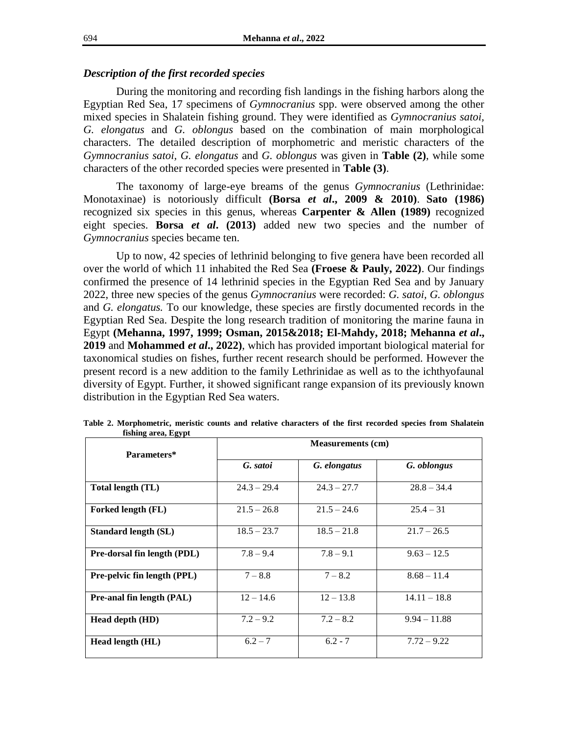# *Description of the first recorded species*

During the monitoring and recording fish landings in the fishing harbors along the Egyptian Red Sea, 17 specimens of *Gymnocranius* spp. were observed among the other mixed species in Shalatein fishing ground. They were identified as *Gymnocranius satoi, G. elongatus* and *G. oblongus* based on the combination of main morphological characters. The detailed description of morphometric and meristic characters of the *Gymnocranius satoi, G. elongatus* and *G. oblongus* was given in **Table (2)**, while some characters of the other recorded species were presented in **Table (3)**.

The taxonomy of large-eye breams of the genus *Gymnocranius* (Lethrinidae: Monotaxinae) is notoriously difficult **(Borsa** *et al***., 2009 & 2010)**. **Sato (1986)** recognized six species in this genus, whereas **Carpenter & Allen (1989)** recognized eight species. **Borsa** *et al***. (2013)** added new two species and the number of *Gymnocranius* species became ten.

Up to now, 42 species of lethrinid belonging to five genera have been recorded all over the world of which 11 inhabited the Red Sea **(Froese & Pauly, 2022)**. Our findings confirmed the presence of 14 lethrinid species in the Egyptian Red Sea and by January 2022, three new species of the genus *Gymnocranius* were recorded: *G. satoi, G. oblongus* and *G. elongatus.* To our knowledge, these species are firstly documented records in the Egyptian Red Sea. Despite the long research tradition of monitoring the marine fauna in Egypt **(Mehanna, 1997, 1999; Osman, 2015&2018; El-Mahdy, 2018; Mehanna** *et al***., 2019** and **Mohammed** *et al***., 2022)**, which has provided important biological material for taxonomical studies on fishes, further recent research should be performed. However the present record is a new addition to the family Lethrinidae as well as to the ichthyofaunal diversity of Egypt. Further, it showed significant range expansion of its previously known distribution in the Egyptian Red Sea waters.

| Parameters*                 | <b>Measurements (cm)</b> |               |                |  |
|-----------------------------|--------------------------|---------------|----------------|--|
|                             | G. satoi                 | G. elongatus  | G. oblongus    |  |
| Total length (TL)           | $24.3 - 29.4$            | $24.3 - 27.7$ | $28.8 - 34.4$  |  |
| Forked length (FL)          | $21.5 - 26.8$            | $21.5 - 24.6$ | $25.4 - 31$    |  |
| <b>Standard length (SL)</b> | $18.5 - 23.7$            | $18.5 - 21.8$ | $21.7 - 26.5$  |  |
| Pre-dorsal fin length (PDL) | $7.8 - 9.4$              | $7.8 - 9.1$   | $9.63 - 12.5$  |  |
| Pre-pelvic fin length (PPL) | $7 - 8.8$                | $7 - 8.2$     | $8.68 - 11.4$  |  |
| Pre-anal fin length (PAL)   | $12 - 14.6$              | $12 - 13.8$   | $14.11 - 18.8$ |  |
| Head depth (HD)             | $7.2 - 9.2$              | $7.2 - 8.2$   | $9.94 - 11.88$ |  |
| Head length (HL)            | $6.2 - 7$                | $6.2 - 7$     | $7.72 - 9.22$  |  |

**Table 2. Morphometric, meristic counts and relative characters of the first recorded species from Shalatein fishing area, Egypt**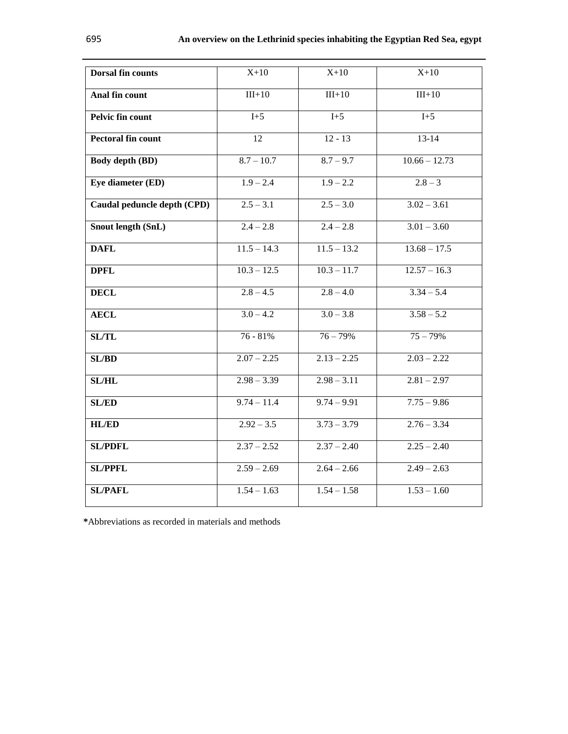| <b>Dorsal fin counts</b>    | $X+10$          | $X+10$        | $X+10$          |  |
|-----------------------------|-----------------|---------------|-----------------|--|
| Anal fin count              | $III+10$        | $III+10$      | $III+10$        |  |
| Pelvic fin count            | $I+5$           | $I+5$         | $I+5$           |  |
| Pectoral fin count          | $\overline{12}$ | $12 - 13$     | $13 - 14$       |  |
| <b>Body depth (BD)</b>      | $8.7 - 10.7$    | $8.7 - 9.7$   | $10.66 - 12.73$ |  |
| Eye diameter (ED)           | $1.9 - 2.4$     | $1.9 - 2.2$   | $2.8 - 3$       |  |
| Caudal peduncle depth (CPD) | $2.5 - 3.1$     | $2.5 - 3.0$   | $3.02 - 3.61$   |  |
| Snout length (SnL)          | $2.4 - 2.8$     | $2.4 - 2.8$   | $3.01 - 3.60$   |  |
| <b>DAFL</b>                 | $11.5 - 14.3$   | $11.5 - 13.2$ | $13.68 - 17.5$  |  |
| <b>DPFL</b>                 | $10.3 - 12.5$   | $10.3 - 11.7$ | $12.57 - 16.3$  |  |
| <b>DECL</b>                 | $2.8 - 4.5$     | $2.8 - 4.0$   | $3.34 - 5.4$    |  |
| <b>AECL</b>                 | $3.0 - 4.2$     | $3.0 - 3.8$   | $3.58 - 5.2$    |  |
| SL/TL                       | 76 - 81%        | $76 - 79%$    | $75 - 79%$      |  |
| SL/BD                       | $2.07 - 2.25$   | $2.13 - 2.25$ | $2.03 - 2.22$   |  |
| <b>SL/HL</b>                | $2.98 - 3.39$   | $2.98 - 3.11$ | $2.81 - 2.97$   |  |
| <b>SL/ED</b>                | $9.74 - 11.4$   | $9.74 - 9.91$ | $7.75 - 9.86$   |  |
| <b>HL/ED</b>                | $2.92 - 3.5$    | $3.73 - 3.79$ | $2.76 - 3.34$   |  |
| <b>SL/PDFL</b>              | $2.37 - 2.52$   | $2.37 - 2.40$ | $2.25 - 2.40$   |  |
| <b>SL/PPFL</b>              | $2.59 - 2.69$   | $2.64 - 2.66$ | $2.49 - 2.63$   |  |
| <b>SL/PAFL</b>              | $1.54 - 1.63$   | $1.54 - 1.58$ | $1.53 - 1.60$   |  |

**\***Abbreviations as recorded in materials and methods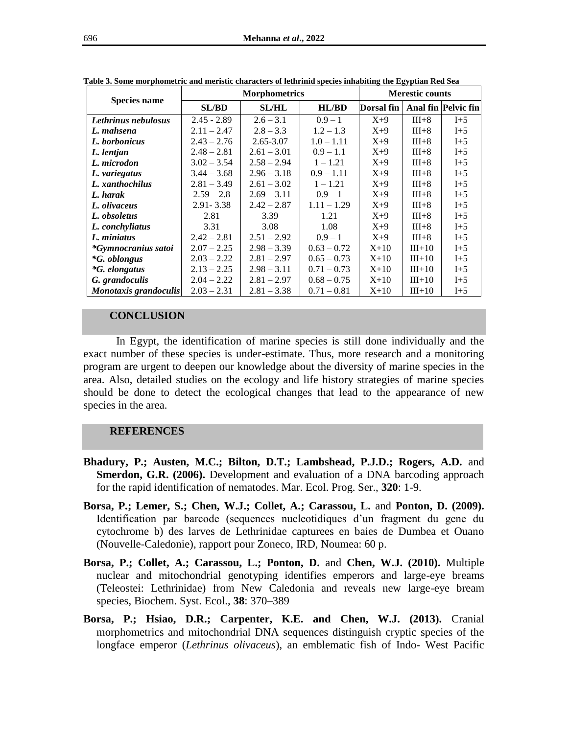| <b>Species name</b>   | <b>Morphometrics</b> |               |               | <b>Merestic counts</b> |          |                     |
|-----------------------|----------------------|---------------|---------------|------------------------|----------|---------------------|
|                       | <b>SL/BD</b>         | <b>SL/HL</b>  | HL/BD         | Dorsal fin             |          | Anal fin Pelvic fin |
| Lethrinus nebulosus   | $2.45 - 2.89$        | $2.6 - 3.1$   | $0.9 - 1$     | $X+9$                  | $III+8$  | $I+5$               |
| L. mahsena            | $2.11 - 2.47$        | $2.8 - 3.3$   | $1.2 - 1.3$   | $X+9$                  | $III+8$  | $I+5$               |
| L. borbonicus         | $2.43 - 2.76$        | 2.65-3.07     | $1.0 - 1.11$  | $X+9$                  | $III+8$  | $I+5$               |
| L. lentjan            | $2.48 - 2.81$        | $2.61 - 3.01$ | $0.9 - 1.1$   | $X+9$                  | $III+8$  | $I+5$               |
| L. microdon           | $3.02 - 3.54$        | $2.58 - 2.94$ | $1 - 1.21$    | $X+9$                  | $III+8$  | $I+5$               |
| L. variegatus         | $3.44 - 3.68$        | $2.96 - 3.18$ | $0.9 - 1.11$  | $X+9$                  | $III+8$  | $I+5$               |
| L. xanthochilus       | $2.81 - 3.49$        | $2.61 - 3.02$ | $1 - 1.21$    | $X+9$                  | $III+8$  | $I+5$               |
| L. harak              | $2.59 - 2.8$         | $2.69 - 3.11$ | $0.9 - 1$     | $X+9$                  | $III+8$  | $I+5$               |
| L. olivaceus          | $2.91 - 3.38$        | $2.42 - 2.87$ | $1.11 - 1.29$ | $X+9$                  | $III+8$  | $I+5$               |
| L. obsoletus          | 2.81                 | 3.39          | 1.21          | $X+9$                  | $III+8$  | $I+5$               |
| L. conchyliatus       | 3.31                 | 3.08          | 1.08          | $X+9$                  | $III+8$  | $I+5$               |
| L. miniatus           | $2.42 - 2.81$        | $2.51 - 2.92$ | $0.9 - 1$     | $X+9$                  | $III+8$  | $I+5$               |
| *Gymnocranius satoi   | $2.07 - 2.25$        | $2.98 - 3.39$ | $0.63 - 0.72$ | $X + 10$               | $III+10$ | $I+5$               |
| <i>*G. oblongus</i>   | $2.03 - 2.22$        | $2.81 - 2.97$ | $0.65 - 0.73$ | $X + 10$               | $III+10$ | $I+5$               |
| <i>*G. elongatus</i>  | $2.13 - 2.25$        | $2.98 - 3.11$ | $0.71 - 0.73$ | $X+10$                 | $III+10$ | $I+5$               |
| G. grandoculis        | $2.04 - 2.22$        | $2.81 - 2.97$ | $0.68 - 0.75$ | $X+10$                 | $III+10$ | $I+5$               |
| Monotaxis grandoculis | $2.03 - 2.31$        | $2.81 - 3.38$ | $0.71 - 0.81$ | $X+10$                 | $III+10$ | $I+5$               |

**Table 3. Some morphometric and meristic characters of lethrinid species inhabiting the Egyptian Red Sea**

#### **CONCLUSION**

In Egypt, the identification of marine species is still done individually and the exact number of these species is under-estimate. Thus, more research and a monitoring program are urgent to deepen our knowledge about the diversity of marine species in the area. Also, detailed studies on the ecology and life history strategies of marine species should be done to detect the ecological changes that lead to the appearance of new species in the area.

## **REFERENCES**

- **Bhadury, P.; Austen, M.C.; Bilton, D.T.; Lambshead, P.J.D.; Rogers, A.D.** and **Smerdon, G.R. (2006).** Development and evaluation of a DNA barcoding approach for the rapid identification of nematodes. Mar. Ecol. Prog. Ser., **320**: 1-9.
- **Borsa, P.; Lemer, S.; Chen, W.J.; Collet, A.; Carassou, L.** and **Ponton, D. (2009).** Identification par barcode (sequences nucleotidiques d'un fragment du gene du cytochrome b) des larves de Lethrinidae capturees en baies de Dumbea et Ouano (Nouvelle-Caledonie), rapport pour Zoneco, IRD, Noumea: 60 p.
- **Borsa, P.; Collet, A.; Carassou, L.; Ponton, D.** and **Chen, W.J. (2010).** Multiple nuclear and mitochondrial genotyping identifies emperors and large-eye breams (Teleostei: Lethrinidae) from New Caledonia and reveals new large-eye bream species, Biochem. Syst. Ecol., **38**: 370–389
- **Borsa, P.; Hsiao, D.R.; Carpenter, K.E. and Chen, W.J. (2013).** Cranial morphometrics and mitochondrial DNA sequences distinguish cryptic species of the longface emperor (*Lethrinus olivaceus*), an emblematic fish of Indo- West Pacific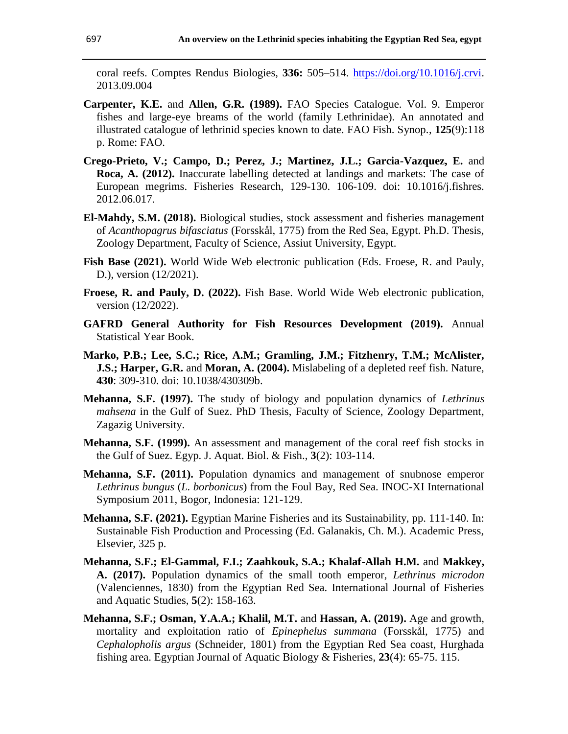coral reefs. Comptes Rendus Biologies, **336:** 505–514. [https://doi.org/10.1016/j.crvi.](https://doi.org/10.1016/j.crvi) 2013.09.004

- **Carpenter, K.E.** and **Allen, G.R. (1989).** FAO Species Catalogue. Vol. 9. Emperor fishes and large-eye breams of the world (family Lethrinidae). An annotated and illustrated catalogue of lethrinid species known to date. FAO Fish. Synop., **125**(9):118 p. Rome: FAO.
- **Crego-Prieto, V.; Campo, D.; Perez, J.; Martinez, J.L.; Garcia-Vazquez, E.** and **Roca, A. (2012).** Inaccurate labelling detected at landings and markets: The case of European megrims. Fisheries Research, 129-130. 106-109. doi: 10.1016/j.fishres. 2012.06.017.
- **El-Mahdy, S.M. (2018).** Biological studies, stock assessment and fisheries management of *Acanthopagrus bifasciatus* (Forsskål, 1775) from the Red Sea, Egypt. Ph.D. Thesis, Zoology Department, Faculty of Science, Assiut University, Egypt.
- Fish Base (2021). World Wide Web electronic publication (Eds. Froese, R. and Pauly, D.), version (12/2021).
- **Froese, R. and Pauly, D. (2022).** Fish Base. World Wide Web electronic publication, version (12/2022).
- **GAFRD General Authority for Fish Resources Development (2019).** Annual Statistical Year Book.
- **Marko, P.B.; Lee, S.C.; Rice, A.M.; Gramling, J.M.; Fitzhenry, T.M.; McAlister, J.S.; Harper, G.R.** and **Moran, A. (2004).** Mislabeling of a depleted reef fish. Nature, **430**: 309-310. doi: 10.1038/430309b.
- **Mehanna, S.F. (1997).** The study of biology and population dynamics of *Lethrinus mahsena* in the Gulf of Suez. PhD Thesis, Faculty of Science, Zoology Department, Zagazig University.
- **Mehanna, S.F. (1999).** An assessment and management of the coral reef fish stocks in the Gulf of Suez. Egyp. J. Aquat. Biol. & Fish., **3**(2): 103-114.
- **Mehanna, S.F. (2011).** Population dynamics and management of snubnose emperor *Lethrinus bungus* (*L. borbonicus*) from the Foul Bay, Red Sea. INOC-XI International Symposium 2011, Bogor, Indonesia: 121-129.
- **Mehanna, S.F. (2021).** Egyptian Marine Fisheries and its Sustainability, pp. 111-140. In: Sustainable Fish Production and Processing (Ed. Galanakis, Ch. M.). Academic Press, Elsevier, 325 p.
- **Mehanna, S.F.; El-Gammal, F.I.; Zaahkouk, S.A.; Khalaf-Allah H.M.** and **Makkey, A. (2017).** Population dynamics of the small tooth emperor, *Lethrinus microdon* (Valenciennes, 1830) from the Egyptian Red Sea. International Journal of Fisheries and Aquatic Studies, **5**(2): 158-163.
- **Mehanna, S.F.; Osman, Y.A.A.; Khalil, M.T.** and **Hassan, A. (2019).** Age and growth, mortality and exploitation ratio of *Epinephelus summana* (Forsskål, 1775) and *Cephalopholis argus* (Schneider, 1801) from the Egyptian Red Sea coast, Hurghada fishing area. Egyptian Journal of Aquatic Biology & Fisheries, **23**(4): 65-75. 115.